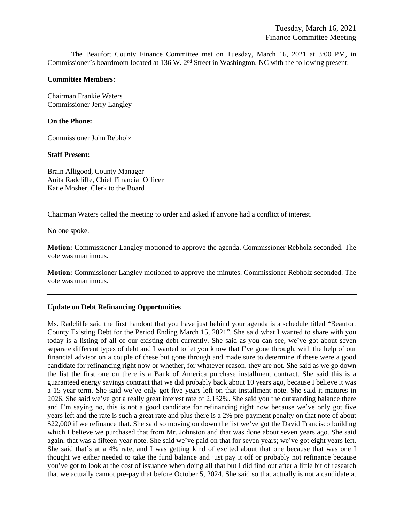The Beaufort County Finance Committee met on Tuesday, March 16, 2021 at 3:00 PM, in Commissioner's boardroom located at 136 W. 2nd Street in Washington, NC with the following present:

#### **Committee Members:**

Chairman Frankie Waters Commissioner Jerry Langley

### **On the Phone:**

Commissioner John Rebholz

### **Staff Present:**

Brain Alligood, County Manager Anita Radcliffe, Chief Financial Officer Katie Mosher, Clerk to the Board

Chairman Waters called the meeting to order and asked if anyone had a conflict of interest.

No one spoke.

**Motion:** Commissioner Langley motioned to approve the agenda. Commissioner Rebholz seconded. The vote was unanimous.

**Motion:** Commissioner Langley motioned to approve the minutes. Commissioner Rebholz seconded. The vote was unanimous.

## **Update on Debt Refinancing Opportunities**

Ms. Radcliffe said the first handout that you have just behind your agenda is a schedule titled "Beaufort County Existing Debt for the Period Ending March 15, 2021". She said what I wanted to share with you today is a listing of all of our existing debt currently. She said as you can see, we've got about seven separate different types of debt and I wanted to let you know that I've gone through, with the help of our financial advisor on a couple of these but gone through and made sure to determine if these were a good candidate for refinancing right now or whether, for whatever reason, they are not. She said as we go down the list the first one on there is a Bank of America purchase installment contract. She said this is a guaranteed energy savings contract that we did probably back about 10 years ago, because I believe it was a 15-year term. She said we've only got five years left on that installment note. She said it matures in 2026. She said we've got a really great interest rate of 2.132%. She said you the outstanding balance there and I'm saying no, this is not a good candidate for refinancing right now because we've only got five years left and the rate is such a great rate and plus there is a 2% pre-payment penalty on that note of about \$22,000 if we refinance that. She said so moving on down the list we've got the David Francisco building which I believe we purchased that from Mr. Johnston and that was done about seven years ago. She said again, that was a fifteen-year note. She said we've paid on that for seven years; we've got eight years left. She said that's at a 4% rate, and I was getting kind of excited about that one because that was one I thought we either needed to take the fund balance and just pay it off or probably not refinance because you've got to look at the cost of issuance when doing all that but I did find out after a little bit of research that we actually cannot pre-pay that before October 5, 2024. She said so that actually is not a candidate at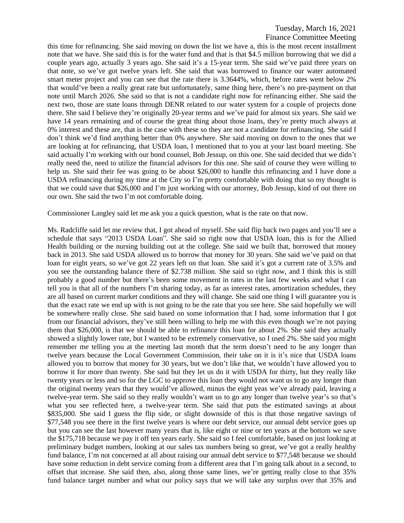this time for refinancing. She said moving on down the list we have a, this is the most recent installment note that we have. She said this is for the water fund and that is that \$4.5 million borrowing that we did a couple years ago, actually 3 years ago. She said it's a 15-year term. She said we've paid three years on that note, so we've got twelve years left. She said that was borrowed to finance our water automated smart meter project and you can see that the rate there is 3.3644%, which, before rates went below 2% that would've been a really great rate but unfortunately, same thing here, there's no pre-payment on that note until March 2026. She said so that is not a candidate right now for refinancing either. She said the next two, those are state loans through DENR related to our water system for a couple of projects done there. She said I believe they're originally 20-year terms and we've paid for almost six years. She said we have 14 years remaining and of course the great thing about those loans, they're pretty much always at 0% interest and these are, that is the case with these so they are not a candidate for refinancing. She said I don't think we'd find anything better than 0% anywhere. She said moving on down to the ones that we are looking at for refinancing, that USDA loan, I mentioned that to you at your last board meeting. She said actually I'm working with our bond counsel, Bob Jessup, on this one. She said decided that we didn't really need the, need to utilize the financial advisors for this one. She said of course they were willing to help us. She said their fee was going to be about \$26,000 to handle this refinancing and I have done a USDA refinancing during my time at the City so I'm pretty comfortable with doing that so my thought is that we could save that \$26,000 and I'm just working with our attorney, Bob Jessup, kind of out there on our own. She said the two I'm not comfortable doing.

Commissioner Langley said let me ask you a quick question, what is the rate on that now.

Ms. Radcliffe said let me review that, I got ahead of myself. She said flip back two pages and you'll see a schedule that says "2013 USDA Loan". She said so right now that USDA loan, this is for the Allied Health building or the nursing building out at the college. She said we built that, borrowed that money back in 2013. She said USDA allowed us to borrow that money for 30 years. She said we've paid on that loan for eight years, so we've got 22 years left on that loan. She said it's got a current rate of 3.5% and you see the outstanding balance there of \$2.738 million. She said so right now, and I think this is still probably a good number but there's been some movement in rates in the last few weeks and what I can tell you is that all of the numbers I'm sharing today, as far as interest rates, amortization schedules, they are all based on current market conditions and they will change. She said one thing I will guarantee you is that the exact rate we end up with is not going to be the rate that you see here. She said hopefully we will be somewhere really close. She said based on some information that I had, some information that I got from our financial advisors, they've still been willing to help me with this even though we're not paying them that \$26,000, is that we should be able to refinance this loan for about 2%. She said they actually showed a slightly lower rate, but I wanted to be extremely conservative, so I used 2%. She said you might remember me telling you at the meeting last month that the term doesn't need to be any longer than twelve years because the Local Government Commission, their take on it is it's nice that USDA loans allowed you to borrow that money for 30 years, but we don't like that, we wouldn't have allowed you to borrow it for more than twenty. She said but they let us do it with USDA for thirty, but they really like twenty years or less and so for the LGC to approve this loan they would not want us to go any longer than the original twenty years that they would've allowed, minus the eight yeas we've already paid, leaving a twelve-year term. She said so they really wouldn't want us to go any longer than twelve year's so that's what you see reflected here, a twelve-year term. She said that puts the estimated savings at about \$835,000. She said I guess the flip side, or slight downside of this is that those negative savings of \$77,548 you see there in the first twelve years is where our debt service, our annual debt service goes up but you can see the last however many years that is, like eight or nine or ten years at the bottom we save the \$175,718 because we pay it off ten years early. She said so I feel comfortable, based on just looking at preliminary budget numbers, looking at our sales tax numbers being so great, we've got a really healthy fund balance, I'm not concerned at all about raising our annual debt service to \$77,548 because we should have some reduction in debt service coming from a different area that I'm going talk about in a second, to offset that increase. She said then, also, along those same lines, we're getting really close to that 35% fund balance target number and what our policy says that we will take any surplus over that 35% and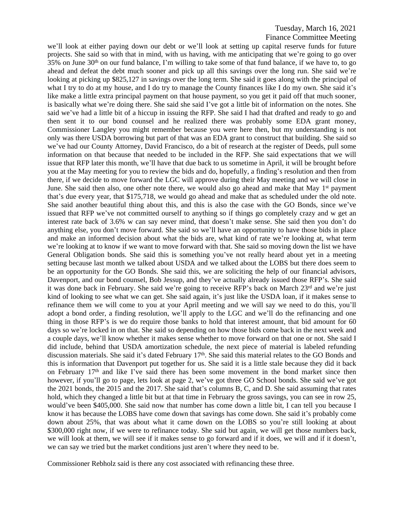we'll look at either paying down our debt or we'll look at setting up capital reserve funds for future projects. She said so with that in mind, with us having, with me anticipating that we're going to go over 35% on June 30<sup>th</sup> on our fund balance, I'm willing to take some of that fund balance, if we have to, to go ahead and defeat the debt much sooner and pick up all this savings over the long run. She said we're looking at picking up \$825,127 in savings over the long term. She said it goes along with the principal of what I try to do at my house, and I do try to manage the County finances like I do my own. She said it's like make a little extra principal payment on that house payment, so you get it paid off that much sooner, is basically what we're doing there. She said she said I've got a little bit of information on the notes. She said we've had a little bit of a hiccup in issuing the RFP. She said I had that drafted and ready to go and then sent it to our bond counsel and he realized there was probably some EDA grant money, Commissioner Langley you might remember because you were here then, but my understanding is not only was there USDA borrowing but part of that was an EDA grant to construct that building. She said so we've had our County Attorney, David Francisco, do a bit of research at the register of Deeds, pull some information on that because that needed to be included in the RFP. She said expectations that we will issue that RFP later this month, we'll have that due back to us sometime in April, it will be brought before you at the May meeting for you to review the bids and do, hopefully, a finding's resolution and then from there, if we decide to move forward the LGC will approve during their May meeting and we will close in June. She said then also, one other note there, we would also go ahead and make that May 1<sup>st</sup> payment that's due every year, that \$175,718, we would go ahead and make that as scheduled under the old note. She said another beautiful thing about this, and this is also the case with the GO Bonds, since we've issued that RFP we've not committed ourself to anything so if things go completely crazy and w get an interest rate back of 3.6% w can say never mind, that doesn't make sense. She said then you don't do anything else, you don't move forward. She said so we'll have an opportunity to have those bids in place and make an informed decision about what the bids are, what kind of rate we're looking at, what term we're looking at to know if we want to move forward with that. She said so moving down the list we have General Obligation bonds. She said this is something you've not really heard about yet in a meeting setting because last month we talked about USDA and we talked about the LOBS but there does seem to be an opportunity for the GO Bonds. She said this, we are soliciting the help of our financial advisors, Davenport, and our bond counsel, Bob Jessup, and they've actually already issued those RFP's. She said it was done back in February. She said we're going to receive RFP's back on March 23rd and we're just kind of looking to see what we can get. She said again, it's just like the USDA loan, if it makes sense to refinance them we will come to you at your April meeting and we will say we need to do this, you'll adopt a bond order, a finding resolution, we'll apply to the LGC and we'll do the refinancing and one thing in those RFP's is we do require those banks to hold that interest amount, that bid amount for 60 days so we're locked in on that. She said so depending on how those bids come back in the next week and a couple days, we'll know whether it makes sense whether to move forward on that one or not. She said I did include, behind that USDA amortization schedule, the next piece of material is labeled refunding discussion materials. She said it's dated February 17<sup>th</sup>. She said this material relates to the GO Bonds and this is information that Davenport put together for us. She said it is a little stale because they did it back on February 17th and like I've said there has been some movement in the bond market since then however, if you'll go to page, lets look at page 2, we've got three GO School bonds. She said we've got the 2021 bonds, the 2015 and the 2017. She said that's columns B, C, and D. She said assuming that rates hold, which they changed a little bit but at that time in February the gross savings, you can see in row 25, would've been \$405,000. She said now that number has come down a little bit, I can tell you because I know it has because the LOBS have come down that savings has come down. She said it's probably come down about 25%, that was about what it came down on the LOBS so you're still looking at about \$300,000 right now, if we were to refinance today. She said but again, we will get those numbers back, we will look at them, we will see if it makes sense to go forward and if it does, we will and if it doesn't, we can say we tried but the market conditions just aren't where they need to be.

Commissioner Rebholz said is there any cost associated with refinancing these three.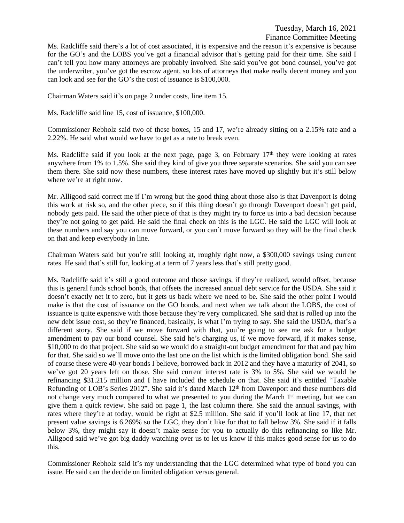Ms. Radcliffe said there's a lot of cost associated, it is expensive and the reason it's expensive is because for the GO's and the LOBS you've got a financial advisor that's getting paid for their time. She said I can't tell you how many attorneys are probably involved. She said you've got bond counsel, you've got the underwriter, you've got the escrow agent, so lots of attorneys that make really decent money and you can look and see for the GO's the cost of issuance is \$100,000.

Chairman Waters said it's on page 2 under costs, line item 15.

Ms. Radcliffe said line 15, cost of issuance, \$100,000.

Commissioner Rebholz said two of these boxes, 15 and 17, we're already sitting on a 2.15% rate and a 2.22%. He said what would we have to get as a rate to break even.

Ms. Radcliffe said if you look at the next page, page 3, on February  $17<sup>th</sup>$  they were looking at rates anywhere from 1% to 1.5%. She said they kind of give you three separate scenarios. She said you can see them there. She said now these numbers, these interest rates have moved up slightly but it's still below where we're at right now.

Mr. Alligood said correct me if I'm wrong but the good thing about those also is that Davenport is doing this work at risk so, and the other piece, so if this thing doesn't go through Davenport doesn't get paid, nobody gets paid. He said the other piece of that is they might try to force us into a bad decision because they're not going to get paid. He said the final check on this is the LGC. He said the LGC will look at these numbers and say you can move forward, or you can't move forward so they will be the final check on that and keep everybody in line.

Chairman Waters said but you're still looking at, roughly right now, a \$300,000 savings using current rates. He said that's still for, looking at a term of 7 years less that's still pretty good.

Ms. Radcliffe said it's still a good outcome and those savings, if they're realized, would offset, because this is general funds school bonds, that offsets the increased annual debt service for the USDA. She said it doesn't exactly net it to zero, but it gets us back where we need to be. She said the other point I would make is that the cost of issuance on the GO bonds, and next when we talk about the LOBS, the cost of issuance is quite expensive with those because they're very complicated. She said that is rolled up into the new debt issue cost, so they're financed, basically, is what I'm trying to say. She said the USDA, that's a different story. She said if we move forward with that, you're going to see me ask for a budget amendment to pay our bond counsel. She said he's charging us, if we move forward, if it makes sense, \$10,000 to do that project. She said so we would do a straight-out budget amendment for that and pay him for that. She said so we'll move onto the last one on the list which is the limited obligation bond. She said of course these were 40-year bonds I believe, borrowed back in 2012 and they have a maturity of 2041, so we've got 20 years left on those. She said current interest rate is 3% to 5%. She said we would be refinancing \$31.215 million and I have included the schedule on that. She said it's entitled "Taxable Refunding of LOB's Series 2012". She said it's dated March 12<sup>th</sup> from Davenport and these numbers did not change very much compared to what we presented to you during the March 1<sup>st</sup> meeting, but we can give them a quick review. She said on page 1, the last column there. She said the annual savings, with rates where they're at today, would be right at \$2.5 million. She said if you'll look at line 17, that net present value savings is 6.269% so the LGC, they don't like for that to fall below 3%. She said if it falls below 3%, they might say it doesn't make sense for you to actually do this refinancing so like Mr. Alligood said we've got big daddy watching over us to let us know if this makes good sense for us to do this.

Commissioner Rebholz said it's my understanding that the LGC determined what type of bond you can issue. He said can the decide on limited obligation versus general.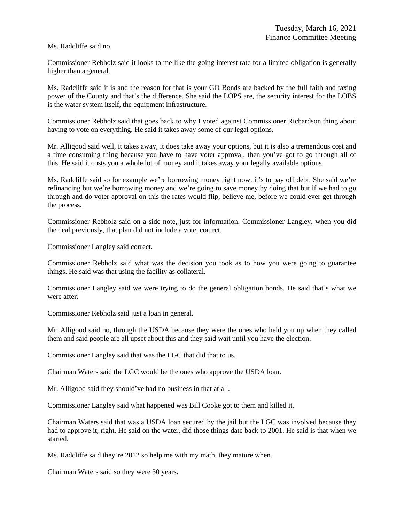Ms. Radcliffe said no.

Commissioner Rebholz said it looks to me like the going interest rate for a limited obligation is generally higher than a general.

Ms. Radcliffe said it is and the reason for that is your GO Bonds are backed by the full faith and taxing power of the County and that's the difference. She said the LOPS are, the security interest for the LOBS is the water system itself, the equipment infrastructure.

Commissioner Rebholz said that goes back to why I voted against Commissioner Richardson thing about having to vote on everything. He said it takes away some of our legal options.

Mr. Alligood said well, it takes away, it does take away your options, but it is also a tremendous cost and a time consuming thing because you have to have voter approval, then you've got to go through all of this. He said it costs you a whole lot of money and it takes away your legally available options.

Ms. Radcliffe said so for example we're borrowing money right now, it's to pay off debt. She said we're refinancing but we're borrowing money and we're going to save money by doing that but if we had to go through and do voter approval on this the rates would flip, believe me, before we could ever get through the process.

Commissioner Rebholz said on a side note, just for information, Commissioner Langley, when you did the deal previously, that plan did not include a vote, correct.

Commissioner Langley said correct.

Commissioner Rebholz said what was the decision you took as to how you were going to guarantee things. He said was that using the facility as collateral.

Commissioner Langley said we were trying to do the general obligation bonds. He said that's what we were after.

Commissioner Rebholz said just a loan in general.

Mr. Alligood said no, through the USDA because they were the ones who held you up when they called them and said people are all upset about this and they said wait until you have the election.

Commissioner Langley said that was the LGC that did that to us.

Chairman Waters said the LGC would be the ones who approve the USDA loan.

Mr. Alligood said they should've had no business in that at all.

Commissioner Langley said what happened was Bill Cooke got to them and killed it.

Chairman Waters said that was a USDA loan secured by the jail but the LGC was involved because they had to approve it, right. He said on the water, did those things date back to 2001. He said is that when we started.

Ms. Radcliffe said they're 2012 so help me with my math, they mature when.

Chairman Waters said so they were 30 years.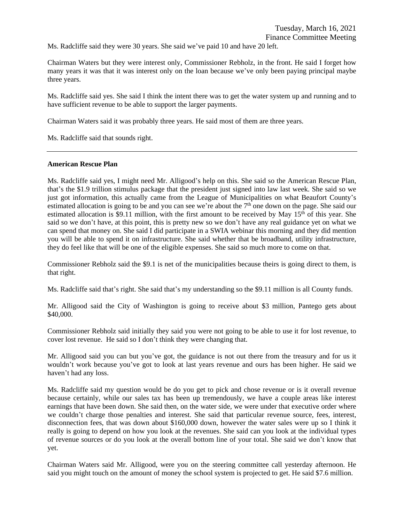Ms. Radcliffe said they were 30 years. She said we've paid 10 and have 20 left.

Chairman Waters but they were interest only, Commissioner Rebholz, in the front. He said I forget how many years it was that it was interest only on the loan because we've only been paying principal maybe three years.

Ms. Radcliffe said yes. She said I think the intent there was to get the water system up and running and to have sufficient revenue to be able to support the larger payments.

Chairman Waters said it was probably three years. He said most of them are three years.

Ms. Radcliffe said that sounds right.

#### **American Rescue Plan**

Ms. Radcliffe said yes, I might need Mr. Alligood's help on this. She said so the American Rescue Plan, that's the \$1.9 trillion stimulus package that the president just signed into law last week. She said so we just got information, this actually came from the League of Municipalities on what Beaufort County's estimated allocation is going to be and you can see we're about the 7<sup>th</sup> one down on the page. She said our estimated allocation is \$9.11 million, with the first amount to be received by May 15<sup>th</sup> of this year. She said so we don't have, at this point, this is pretty new so we don't have any real guidance yet on what we can spend that money on. She said I did participate in a SWIA webinar this morning and they did mention you will be able to spend it on infrastructure. She said whether that be broadband, utility infrastructure, they do feel like that will be one of the eligible expenses. She said so much more to come on that.

Commissioner Rebholz said the \$9.1 is net of the municipalities because theirs is going direct to them, is that right.

Ms. Radcliffe said that's right. She said that's my understanding so the \$9.11 million is all County funds.

Mr. Alligood said the City of Washington is going to receive about \$3 million, Pantego gets about \$40,000.

Commissioner Rebholz said initially they said you were not going to be able to use it for lost revenue, to cover lost revenue. He said so I don't think they were changing that.

Mr. Alligood said you can but you've got, the guidance is not out there from the treasury and for us it wouldn't work because you've got to look at last years revenue and ours has been higher. He said we haven't had any loss.

Ms. Radcliffe said my question would be do you get to pick and chose revenue or is it overall revenue because certainly, while our sales tax has been up tremendously, we have a couple areas like interest earnings that have been down. She said then, on the water side, we were under that executive order where we couldn't charge those penalties and interest. She said that particular revenue source, fees, interest, disconnection fees, that was down about \$160,000 down, however the water sales were up so I think it really is going to depend on how you look at the revenues. She said can you look at the individual types of revenue sources or do you look at the overall bottom line of your total. She said we don't know that yet.

Chairman Waters said Mr. Alligood, were you on the steering committee call yesterday afternoon. He said you might touch on the amount of money the school system is projected to get. He said \$7.6 million.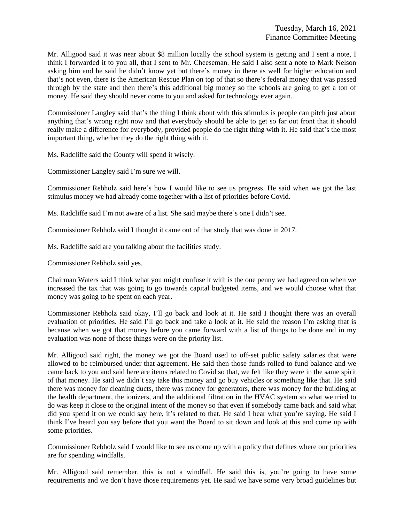Mr. Alligood said it was near about \$8 million locally the school system is getting and I sent a note, I think I forwarded it to you all, that I sent to Mr. Cheeseman. He said I also sent a note to Mark Nelson asking him and he said he didn't know yet but there's money in there as well for higher education and that's not even, there is the American Rescue Plan on top of that so there's federal money that was passed through by the state and then there's this additional big money so the schools are going to get a ton of money. He said they should never come to you and asked for technology ever again.

Commissioner Langley said that's the thing I think about with this stimulus is people can pitch just about anything that's wrong right now and that everybody should be able to get so far out front that it should really make a difference for everybody, provided people do the right thing with it. He said that's the most important thing, whether they do the right thing with it.

Ms. Radcliffe said the County will spend it wisely.

Commissioner Langley said I'm sure we will.

Commissioner Rebholz said here's how I would like to see us progress. He said when we got the last stimulus money we had already come together with a list of priorities before Covid.

Ms. Radcliffe said I'm not aware of a list. She said maybe there's one I didn't see.

Commissioner Rebholz said I thought it came out of that study that was done in 2017.

Ms. Radcliffe said are you talking about the facilities study.

Commissioner Rebholz said yes.

Chairman Waters said I think what you might confuse it with is the one penny we had agreed on when we increased the tax that was going to go towards capital budgeted items, and we would choose what that money was going to be spent on each year.

Commissioner Rebholz said okay, I'll go back and look at it. He said I thought there was an overall evaluation of priorities. He said I'll go back and take a look at it. He said the reason I'm asking that is because when we got that money before you came forward with a list of things to be done and in my evaluation was none of those things were on the priority list.

Mr. Alligood said right, the money we got the Board used to off-set public safety salaries that were allowed to be reimbursed under that agreement. He said then those funds rolled to fund balance and we came back to you and said here are items related to Covid so that, we felt like they were in the same spirit of that money. He said we didn't say take this money and go buy vehicles or something like that. He said there was money for cleaning ducts, there was money for generators, there was money for the building at the health department, the ionizers, and the additional filtration in the HVAC system so what we tried to do was keep it close to the original intent of the money so that even if somebody came back and said what did you spend it on we could say here, it's related to that. He said I hear what you're saying. He said I think I've heard you say before that you want the Board to sit down and look at this and come up with some priorities.

Commissioner Rebholz said I would like to see us come up with a policy that defines where our priorities are for spending windfalls.

Mr. Alligood said remember, this is not a windfall. He said this is, you're going to have some requirements and we don't have those requirements yet. He said we have some very broad guidelines but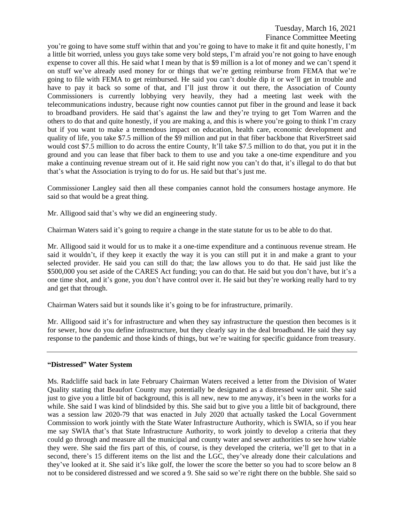you're going to have some stuff within that and you're going to have to make it fit and quite honestly, I'm a little bit worried, unless you guys take some very bold steps, I'm afraid you're not going to have enough expense to cover all this. He said what I mean by that is \$9 million is a lot of money and we can't spend it on stuff we've already used money for or things that we're getting reimburse from FEMA that we're going to file with FEMA to get reimbursed. He said you can't double dip it or we'll get in trouble and have to pay it back so some of that, and I'll just throw it out there, the Association of County Commissioners is currently lobbying very heavily, they had a meeting last week with the telecommunications industry, because right now counties cannot put fiber in the ground and lease it back to broadband providers. He said that's against the law and they're trying to get Tom Warren and the others to do that and quite honestly, if you are making a, and this is where you're going to think I'm crazy but if you want to make a tremendous impact on education, health care, economic development and quality of life, you take \$7.5 million of the \$9 million and put in that fiber backbone that RiverStreet said would cost \$7.5 million to do across the entire County, It'll take \$7.5 million to do that, you put it in the ground and you can lease that fiber back to them to use and you take a one-time expenditure and you make a continuing revenue stream out of it. He said right now you can't do that, it's illegal to do that but that's what the Association is trying to do for us. He said but that's just me.

Commissioner Langley said then all these companies cannot hold the consumers hostage anymore. He said so that would be a great thing.

Mr. Alligood said that's why we did an engineering study.

Chairman Waters said it's going to require a change in the state statute for us to be able to do that.

Mr. Alligood said it would for us to make it a one-time expenditure and a continuous revenue stream. He said it wouldn't, if they keep it exactly the way it is you can still put it in and make a grant to your selected provider. He said you can still do that; the law allows you to do that. He said just like the \$500,000 you set aside of the CARES Act funding; you can do that. He said but you don't have, but it's a one time shot, and it's gone, you don't have control over it. He said but they're working really hard to try and get that through.

Chairman Waters said but it sounds like it's going to be for infrastructure, primarily.

Mr. Alligood said it's for infrastructure and when they say infrastructure the question then becomes is it for sewer, how do you define infrastructure, but they clearly say in the deal broadband. He said they say response to the pandemic and those kinds of things, but we're waiting for specific guidance from treasury.

## **"Distressed" Water System**

Ms. Radcliffe said back in late February Chairman Waters received a letter from the Division of Water Quality stating that Beaufort County may potentially be designated as a distressed water unit. She said just to give you a little bit of background, this is all new, new to me anyway, it's been in the works for a while. She said I was kind of blindsided by this. She said but to give you a little bit of background, there was a session law 2020-79 that was enacted in July 2020 that actually tasked the Local Government Commission to work jointly with the State Water Infrastructure Authority, which is SWIA, so if you hear me say SWIA that's that State Infrastructure Authority, to work jointly to develop a criteria that they could go through and measure all the municipal and county water and sewer authorities to see how viable they were. She said the firs part of this, of course, is they developed the criteria, we'll get to that in a second, there's 15 different items on the list and the LGC, they've already done their calculations and they've looked at it. She said it's like golf, the lower the score the better so you had to score below an 8 not to be considered distressed and we scored a 9. She said so we're right there on the bubble. She said so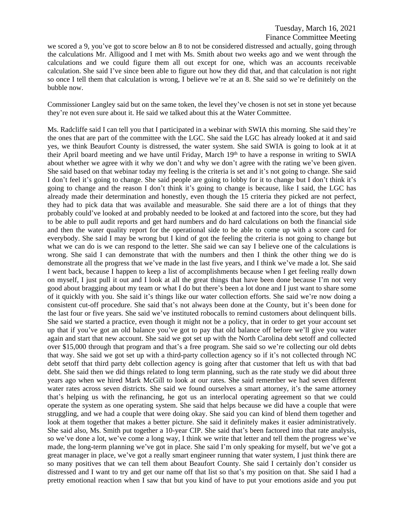we scored a 9, you've got to score below an 8 to not be considered distressed and actually, going through the calculations Mr. Alligood and I met with Ms. Smith about two weeks ago and we went through the calculations and we could figure them all out except for one, which was an accounts receivable calculation. She said I've since been able to figure out how they did that, and that calculation is not right so once I tell them that calculation is wrong, I believe we're at an 8. She said so we're definitely on the bubble now.

Commissioner Langley said but on the same token, the level they've chosen is not set in stone yet because they're not even sure about it. He said we talked about this at the Water Committee.

Ms. Radcliffe said I can tell you that I participated in a webinar with SWIA this morning. She said they're the ones that are part of the committee with the LGC. She said the LGC has already looked at it and said yes, we think Beaufort County is distressed, the water system. She said SWIA is going to look at it at their April board meeting and we have until Friday, March 19<sup>th</sup> to have a response in writing to SWIA about whether we agree with it why we don't and why we don't agree with the rating we've been given. She said based on that webinar today my feeling is the criteria is set and it's not going to change. She said I don't feel it's going to change. She said people are going to lobby for it to change but I don't think it's going to change and the reason I don't think it's going to change is because, like I said, the LGC has already made their determination and honestly, even though the 15 criteria they picked are not perfect, they had to pick data that was available and measurable. She said there are a lot of things that they probably could've looked at and probably needed to be looked at and factored into the score, but they had to be able to pull audit reports and get hard numbers and do hard calculations on both the financial side and then the water quality report for the operational side to be able to come up with a score card for everybody. She said I may be wrong but I kind of got the feeling the criteria is not going to change but what we can do is we can respond to the letter. She said we can say I believe one of the calculations is wrong. She said I can demonstrate that with the numbers and then I think the other thing we do is demonstrate all the progress that we've made in the last five years, and I think we've made a lot. She said I went back, because I happen to keep a list of accomplishments because when I get feeling really down on myself, I just pull it out and I look at all the great things that have been done because I'm not very good about bragging about my team or what I do but there's been a lot done and I just want to share some of it quickly with you. She said it's things like our water collection efforts. She said we're now doing a consistent cut-off procedure. She said that's not always been done at the County, but it's been done for the last four or five years. She said we've instituted robocalls to remind customers about delinquent bills. She said we started a practice, even though it might not be a policy, that in order to get your account set up that if you've got an old balance you've got to pay that old balance off before we'll give you water again and start that new account. She said we got set up with the North Carolina debt setoff and collected over \$15,000 through that program and that's a free program. She said so we're collecting our old debts that way. She said we got set up with a third-party collection agency so if it's not collected through NC debt setoff that third party debt collection agency is going after that customer that left us with that bad debt. She said then we did things related to long term planning, such as the rate study we did about three years ago when we hired Mark McGill to look at our rates. She said remember we had seven different water rates across seven districts. She said we found ourselves a smart attorney, it's the same attorney that's helping us with the refinancing, he got us an interlocal operating agreement so that we could operate the system as one operating system. She said that helps because we did have a couple that were struggling, and we had a couple that were doing okay. She said you can kind of blend them together and look at them together that makes a better picture. She said it definitely makes it easier administratively. She said also, Ms. Smith put together a 10-year CIP. She said that's been factored into that rate analysis, so we've done a lot, we've come a long way, I think we write that letter and tell them the progress we've made, the long-term planning we've got in place. She said I'm only speaking for myself, but we've got a great manager in place, we've got a really smart engineer running that water system, I just think there are so many positives that we can tell them about Beaufort County. She said I certainly don't consider us distressed and I want to try and get our name off that list so that's my position on that. She said I had a pretty emotional reaction when I saw that but you kind of have to put your emotions aside and you put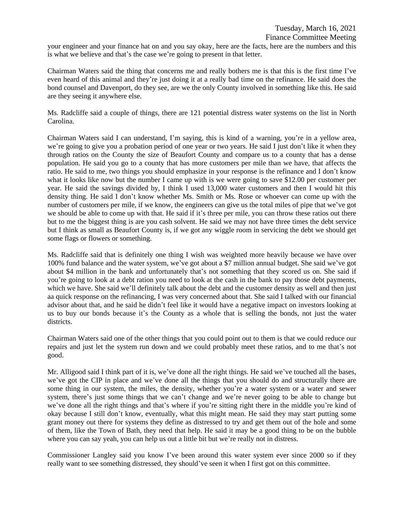your engineer and your finance hat on and you say okay, here are the facts, here are the numbers and this is what we believe and that's the case we're going to present in that letter.

Chairman Waters said the thing that concerns me and really bothers me is that this is the first time I've even heard of this animal and they're just doing it at a really bad time on the refinance. He said does the bond counsel and Davenport, do they see, are we the only County involved in something like this. He said are they seeing it anywhere else.

Ms. Radcliffe said a couple of things, there are 121 potential distress water systems on the list in North Carolina.

Chairman Waters said I can understand, I'm saying, this is kind of a warning, you're in a yellow area, we're going to give you a probation period of one year or two years. He said I just don't like it when they through ratios on the County the size of Beaufort County and compare us to a county that has a dense population. He said you go to a county that has more customers per mile than we have, that affects the ratio. He said to me, two things you should emphasize in your response is the refinance and I don't know what it looks like now but the number I came up with is we were going to save \$12.00 per customer per year. He said the savings divided by, I think I used 13,000 water customers and then I would hit this density thing. He said I don't know whether Ms. Smith or Ms. Rose or whoever can come up with the number of customers per mile, if we know, the engineers can give us the total miles of pipe that we've got we should be able to come up with that. He said if it's three per mile, you can throw these ratios out there but to me the biggest thing is are you cash solvent. He said we may not have three times the debt service but I think as small as Beaufort County is, if we got any wiggle room in servicing the debt we should get some flags or flowers or something.

Ms. Radcliffe said that is definitely one thing I wish was weighted more heavily because we have over 100% fund balance and the water system, we've got about a \$7 million annual budget. She said we've got about \$4 million in the bank and unfortunately that's not something that they scored us on. She said if you're going to look at a debt ration you need to look at the cash in the bank to pay those debt payments, which we have. She said we'll definitely talk about the debt and the customer density as well and then just aa quick response on the refinancing, I was very concerned about that. She said I talked with our financial advisor about that, and he said he didn't feel like it would have a negative impact on investors looking at us to buy our bonds because it's the County as a whole that is selling the bonds, not just the water districts.

Chairman Waters said one of the other things that you could point out to them is that we could reduce our repairs and just let the system run down and we could probably meet these ratios, and to me that's not good.

Mr. Alligood said I think part of it is, we've done all the right things. He said we've touched all the bases, we've got the CIP in place and we've done all the things that you should do and structurally there are some thing in our system, the miles, the density, whether you're a water system or a water and sewer system, there's just some things that we can't change and we're never going to be able to change but we've done all the right things and that's where if you're sitting right there in the middle you're kind of okay because I still don't know, eventually, what this might mean. He said they may start putting some grant money out there for systems they define as distressed to try and get them out of the hole and some of them, like the Town of Bath, they need that help. He said it may be a good thing to be on the bubble where you can say yeah, you can help us out a little bit but we're really not in distress.

Commissioner Langley said you know I've been around this water system ever since 2000 so if they really want to see something distressed, they should've seen it when I first got on this committee.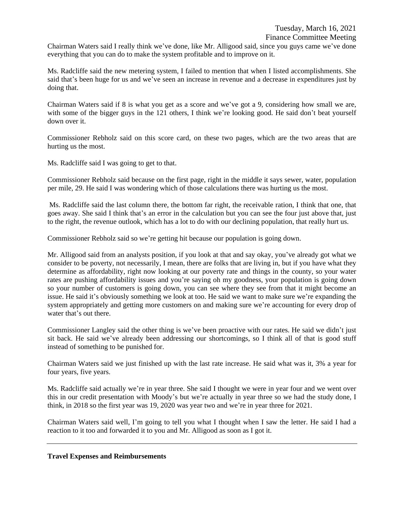Chairman Waters said I really think we've done, like Mr. Alligood said, since you guys came we've done everything that you can do to make the system profitable and to improve on it.

Ms. Radcliffe said the new metering system, I failed to mention that when I listed accomplishments. She said that's been huge for us and we've seen an increase in revenue and a decrease in expenditures just by doing that.

Chairman Waters said if 8 is what you get as a score and we've got a 9, considering how small we are, with some of the bigger guys in the 121 others, I think we're looking good. He said don't beat yourself down over it.

Commissioner Rebholz said on this score card, on these two pages, which are the two areas that are hurting us the most.

Ms. Radcliffe said I was going to get to that.

Commissioner Rebholz said because on the first page, right in the middle it says sewer, water, population per mile, 29. He said I was wondering which of those calculations there was hurting us the most.

Ms. Radcliffe said the last column there, the bottom far right, the receivable ration, I think that one, that goes away. She said I think that's an error in the calculation but you can see the four just above that, just to the right, the revenue outlook, which has a lot to do with our declining population, that really hurt us.

Commissioner Rebholz said so we're getting hit because our population is going down.

Mr. Alligood said from an analysts position, if you look at that and say okay, you've already got what we consider to be poverty, not necessarily, I mean, there are folks that are living in, but if you have what they determine as affordability, right now looking at our poverty rate and things in the county, so your water rates are pushing affordability issues and you're saying oh my goodness, your population is going down so your number of customers is going down, you can see where they see from that it might become an issue. He said it's obviously something we look at too. He said we want to make sure we're expanding the system appropriately and getting more customers on and making sure we're accounting for every drop of water that's out there.

Commissioner Langley said the other thing is we've been proactive with our rates. He said we didn't just sit back. He said we've already been addressing our shortcomings, so I think all of that is good stuff instead of something to be punished for.

Chairman Waters said we just finished up with the last rate increase. He said what was it, 3% a year for four years, five years.

Ms. Radcliffe said actually we're in year three. She said I thought we were in year four and we went over this in our credit presentation with Moody's but we're actually in year three so we had the study done, I think, in 2018 so the first year was 19, 2020 was year two and we're in year three for 2021.

Chairman Waters said well, I'm going to tell you what I thought when I saw the letter. He said I had a reaction to it too and forwarded it to you and Mr. Alligood as soon as I got it.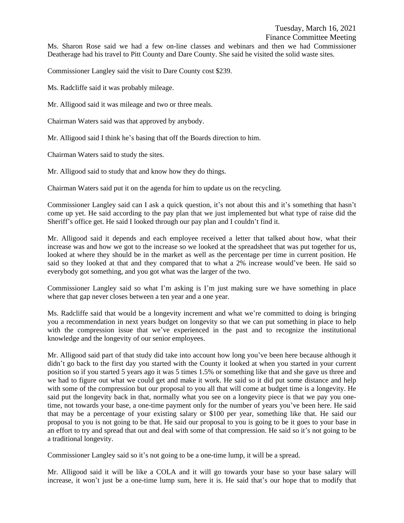Ms. Sharon Rose said we had a few on-line classes and webinars and then we had Commissioner Deatherage had his travel to Pitt County and Dare County. She said he visited the solid waste sites.

Commissioner Langley said the visit to Dare County cost \$239.

Ms. Radcliffe said it was probably mileage.

Mr. Alligood said it was mileage and two or three meals.

Chairman Waters said was that approved by anybody.

Mr. Alligood said I think he's basing that off the Boards direction to him.

Chairman Waters said to study the sites.

Mr. Alligood said to study that and know how they do things.

Chairman Waters said put it on the agenda for him to update us on the recycling.

Commissioner Langley said can I ask a quick question, it's not about this and it's something that hasn't come up yet. He said according to the pay plan that we just implemented but what type of raise did the Sheriff's office get. He said I looked through our pay plan and I couldn't find it.

Mr. Alligood said it depends and each employee received a letter that talked about how, what their increase was and how we got to the increase so we looked at the spreadsheet that was put together for us, looked at where they should be in the market as well as the percentage per time in current position. He said so they looked at that and they compared that to what a 2% increase would've been. He said so everybody got something, and you got what was the larger of the two.

Commissioner Langley said so what I'm asking is I'm just making sure we have something in place where that gap never closes between a ten year and a one year.

Ms. Radcliffe said that would be a longevity increment and what we're committed to doing is bringing you a recommendation in next years budget on longevity so that we can put something in place to help with the compression issue that we've experienced in the past and to recognize the institutional knowledge and the longevity of our senior employees.

Mr. Alligood said part of that study did take into account how long you've been here because although it didn't go back to the first day you started with the County it looked at when you started in your current position so if you started 5 years ago it was 5 times 1.5% or something like that and she gave us three and we had to figure out what we could get and make it work. He said so it did put some distance and help with some of the compression but our proposal to you all that will come at budget time is a longevity. He said put the longevity back in that, normally what you see on a longevity piece is that we pay you onetime, not towards your base, a one-time payment only for the number of years you've been here. He said that may be a percentage of your existing salary or \$100 per year, something like that. He said our proposal to you is not going to be that. He said our proposal to you is going to be it goes to your base in an effort to try and spread that out and deal with some of that compression. He said so it's not going to be a traditional longevity.

Commissioner Langley said so it's not going to be a one-time lump, it will be a spread.

Mr. Alligood said it will be like a COLA and it will go towards your base so your base salary will increase, it won't just be a one-time lump sum, here it is. He said that's our hope that to modify that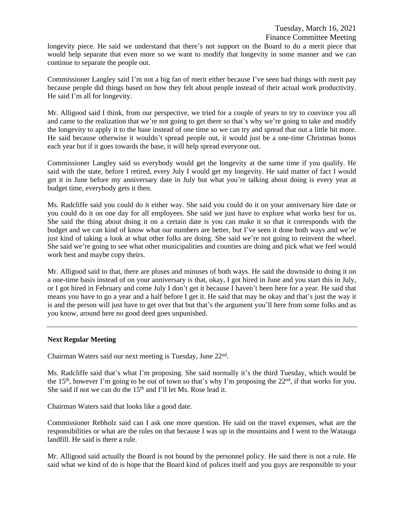longevity piece. He said we understand that there's not support on the Board to do a merit piece that would help separate that even more so we want to modify that longevity in some manner and we can continue to separate the people out.

Commissioner Langley said I'm not a big fan of merit either because I've seen bad things with merit pay because people did things based on how they felt about people instead of their actual work productivity. He said I'm all for longevity.

Mr. Alligood said I think, from our perspective, we tried for a couple of years to try to convince you all and came to the realization that we're not going to get there so that's why we're going to take and modify the longevity to apply it to the base instead of one time so we can try and spread that out a little bit more. He said because otherwise it wouldn't spread people out, it would just be a one-time Christmas bonus each year but if it goes towards the base, it will help spread everyone out.

Commissioner Langley said so everybody would get the longevity at the same time if you qualify. He said with the state, before I retired, every July I would get my longevity. He said matter of fact I would get it in June before my anniversary date in July but what you're talking about doing is every year at budget time, everybody gets it then.

Ms. Radcliffe said you could do it either way. She said you could do it on your anniversary hire date or you could do it on one day for all employees. She said we just have to explore what works best for us. She said the thing about doing it on a certain date is you can make it so that it corresponds with the budget and we can kind of know what our numbers are better, but I've seen it done both ways and we're just kind of taking a look at what other folks are doing. She said we're not going to reinvent the wheel. She said we're going to see what other municipalities and counties are doing and pick what we feel would work best and maybe copy theirs.

Mr. Alligood said to that, there are pluses and minuses of both ways. He said the downside to doing it on a one-time basis instead of on your anniversary is that, okay, I got hired in June and you start this in July, or I got hired in February and come July I don't get it because I haven't been here for a year. He said that means you have to go a year and a half before I get it. He said that may be okay and that's just the way it is and the person will just have to get over that but that's the argument you'll here from some folks and as you know, around here no good deed goes unpunished.

## **Next Regular Meeting**

Chairman Waters said our next meeting is Tuesday, June 22nd .

Ms. Radcliffe said that's what I'm proposing. She said normally it's the third Tuesday, which would be the 15<sup>th</sup>, however I'm going to be out of town so that's why I'm proposing the 22<sup>nd</sup>, if that works for you. She said if not we can do the 15<sup>th</sup> and I'll let Ms. Rose lead it.

Chairman Waters said that looks like a good date.

Commissioner Rebholz said can I ask one more question. He said on the travel expenses, what are the responsibilities or what are the rules on that because I was up in the mountains and I went to the Watauga landfill. He said is there a rule.

Mr. Alligood said actually the Board is not bound by the personnel policy. He said there is not a rule. He said what we kind of do is hope that the Board kind of polices itself and you guys are responsible to your